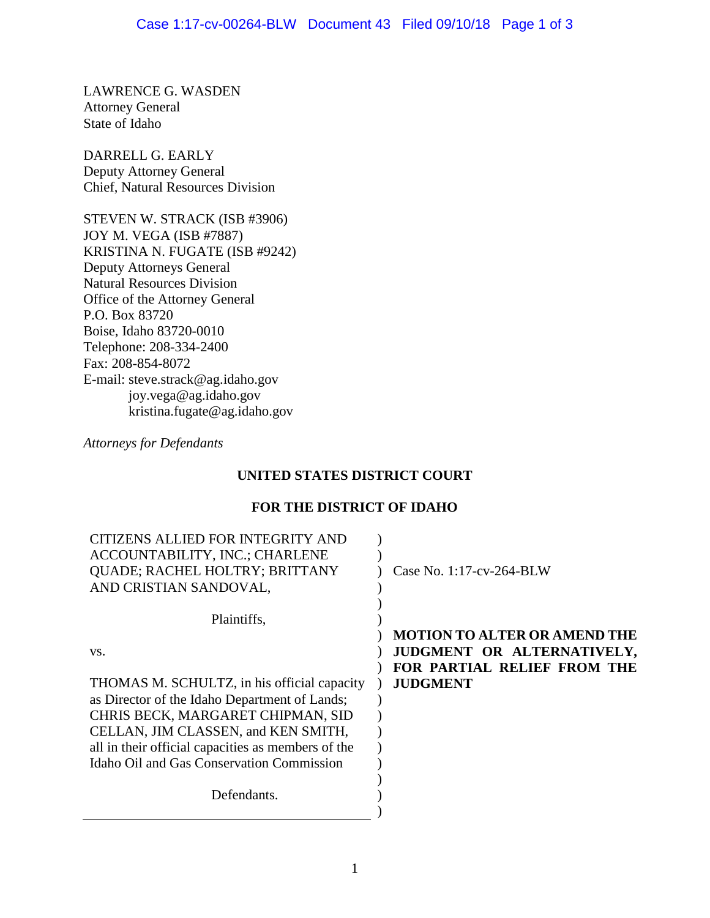LAWRENCE G. WASDEN Attorney General State of Idaho

DARRELL G. EARLY Deputy Attorney General Chief, Natural Resources Division

STEVEN W. STRACK (ISB #3906) JOY M. VEGA (ISB #7887) KRISTINA N. FUGATE (ISB #9242) Deputy Attorneys General Natural Resources Division Office of the Attorney General P.O. Box 83720 Boise, Idaho 83720-0010 Telephone: 208-334-2400 Fax: 208-854-8072 E-mail: steve.strack@ag.idaho.gov joy.vega@ag.idaho.gov kristina.fugate@ag.idaho.gov

*Attorneys for Defendants*

## **UNITED STATES DISTRICT COURT**

## **FOR THE DISTRICT OF IDAHO**

| CITIZENS ALLIED FOR INTEGRITY AND<br>ACCOUNTABILITY, INC.; CHARLENE<br><b>QUADE; RACHEL HOLTRY; BRITTANY</b><br>AND CRISTIAN SANDOVAL, | Case No. $1:17$ -cv-264-BLW                                                                      |
|----------------------------------------------------------------------------------------------------------------------------------------|--------------------------------------------------------------------------------------------------|
| Plaintiffs,                                                                                                                            |                                                                                                  |
| VS.                                                                                                                                    | <b>MOTION TO ALTER OR AMEND THE</b><br>JUDGMENT OR ALTERNATIVELY,<br>FOR PARTIAL RELIEF FROM THE |
| THOMAS M. SCHULTZ, in his official capacity                                                                                            | <b>JUDGMENT</b>                                                                                  |
| as Director of the Idaho Department of Lands;                                                                                          |                                                                                                  |
| CHRIS BECK, MARGARET CHIPMAN, SID                                                                                                      |                                                                                                  |
| CELLAN, JIM CLASSEN, and KEN SMITH,                                                                                                    |                                                                                                  |
| all in their official capacities as members of the                                                                                     |                                                                                                  |
| <b>Idaho Oil and Gas Conservation Commission</b>                                                                                       |                                                                                                  |
|                                                                                                                                        |                                                                                                  |
| Defendants.                                                                                                                            |                                                                                                  |
|                                                                                                                                        |                                                                                                  |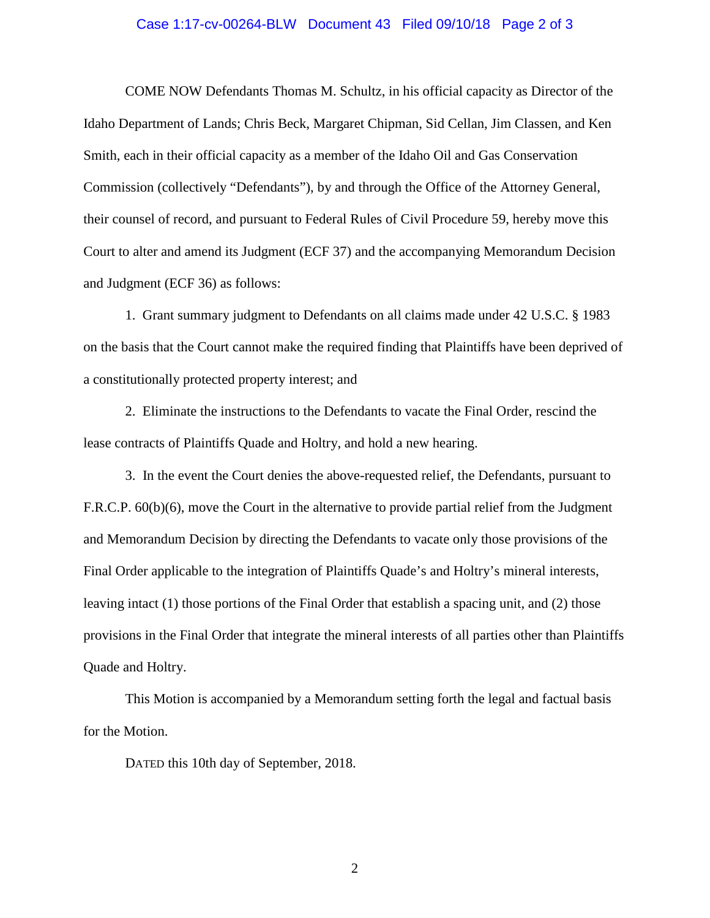## Case 1:17-cv-00264-BLW Document 43 Filed 09/10/18 Page 2 of 3

COME NOW Defendants Thomas M. Schultz, in his official capacity as Director of the Idaho Department of Lands; Chris Beck, Margaret Chipman, Sid Cellan, Jim Classen, and Ken Smith, each in their official capacity as a member of the Idaho Oil and Gas Conservation Commission (collectively "Defendants"), by and through the Office of the Attorney General, their counsel of record, and pursuant to Federal Rules of Civil Procedure 59, hereby move this Court to alter and amend its Judgment (ECF 37) and the accompanying Memorandum Decision and Judgment (ECF 36) as follows:

1. Grant summary judgment to Defendants on all claims made under 42 U.S.C. § 1983 on the basis that the Court cannot make the required finding that Plaintiffs have been deprived of a constitutionally protected property interest; and

2. Eliminate the instructions to the Defendants to vacate the Final Order, rescind the lease contracts of Plaintiffs Quade and Holtry, and hold a new hearing.

3. In the event the Court denies the above-requested relief, the Defendants, pursuant to F.R.C.P. 60(b)(6), move the Court in the alternative to provide partial relief from the Judgment and Memorandum Decision by directing the Defendants to vacate only those provisions of the Final Order applicable to the integration of Plaintiffs Quade's and Holtry's mineral interests, leaving intact (1) those portions of the Final Order that establish a spacing unit, and (2) those provisions in the Final Order that integrate the mineral interests of all parties other than Plaintiffs Quade and Holtry.

This Motion is accompanied by a Memorandum setting forth the legal and factual basis for the Motion.

DATED this 10th day of September, 2018.

2